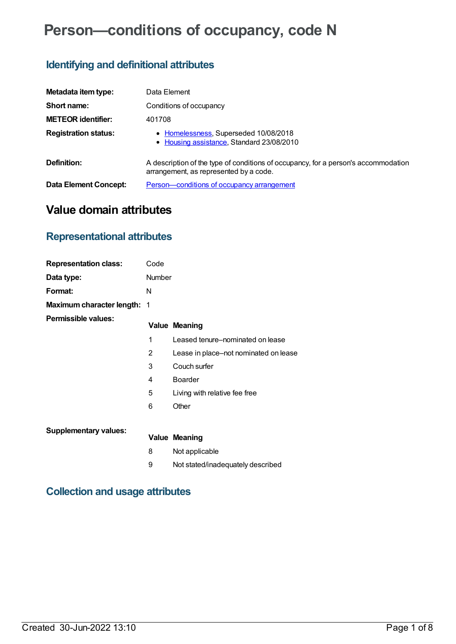# **Person—conditions of occupancy, code N**

## **Identifying and definitional attributes**

| Metadata item type:          | Data Element                                                                                                                 |
|------------------------------|------------------------------------------------------------------------------------------------------------------------------|
| Short name:                  | Conditions of occupancy                                                                                                      |
| <b>METEOR identifier:</b>    | 401708                                                                                                                       |
| <b>Registration status:</b>  | • Homelessness, Superseded 10/08/2018<br>• Housing assistance, Standard 23/08/2010                                           |
| Definition:                  | A description of the type of conditions of occupancy, for a person's accommodation<br>arrangement, as represented by a code. |
| <b>Data Element Concept:</b> | Person-conditions of occupancy arrangement                                                                                   |

## **Value domain attributes**

## **Representational attributes**

| <b>Representation class:</b>       | Code   |                                       |
|------------------------------------|--------|---------------------------------------|
| Data type:                         | Number |                                       |
| Format:                            | N      |                                       |
| <b>Maximum character length: 1</b> |        |                                       |
| <b>Permissible values:</b>         |        | <b>Value Meaning</b>                  |
|                                    | 1      | Leased tenure-nominated on lease      |
|                                    | 2      | Lease in place–not nominated on lease |
|                                    | 3      | Couch surfer                          |
|                                    | 4      | <b>Boarder</b>                        |
|                                    | 5      | Living with relative fee free         |
|                                    | 6      | Other                                 |
| <b>Supplementary values:</b>       |        |                                       |
|                                    |        | <b>Value Meaning</b>                  |
|                                    | 8      | Not applicable                        |
|                                    | 9      | Not stated/inadequately described     |

## **Collection and usage attributes**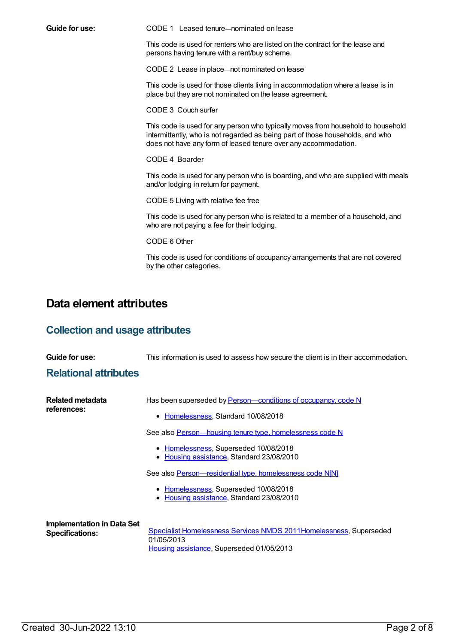**Guide for use:** CODE 1 Leased tenure—nominated on lease

This code is used for renters who are listed on the contract for the lease and persons having tenure with a rent/buy scheme.

CODE 2 Lease in place—not nominated on lease

This code is used for those clients living in accommodation where a lease is in place but they are not nominated on the lease agreement.

CODE 3 Couch surfer

This code is used for any person who typically moves from household to household intermittently, who is not regarded as being part of those households, and who does not have any form of leased tenure over any accommodation.

CODE 4 Boarder

This code is used for any person who is boarding, and who are supplied with meals and/or lodging in return for payment.

CODE 5 Living with relative fee free

This code is used for any person who is related to a member of a household, and who are not paying a fee for their lodging.

CODE 6 Other

This code is used for conditions of occupancy arrangements that are not covered by the other categories.

## **Data element attributes**

### **Collection and usage attributes**

| Guide for use:                                              | This information is used to assess how secure the client is in their accommodation.                                                                                                                                                                                                                                                                                                                          |
|-------------------------------------------------------------|--------------------------------------------------------------------------------------------------------------------------------------------------------------------------------------------------------------------------------------------------------------------------------------------------------------------------------------------------------------------------------------------------------------|
| <b>Relational attributes</b>                                |                                                                                                                                                                                                                                                                                                                                                                                                              |
| Related metadata<br>references:                             | Has been superseded by Person-conditions of occupancy, code N<br>Homelessness, Standard 10/08/2018<br>See also Person-housing tenure type, homelessness code N<br>• Homelessness, Superseded 10/08/2018<br>• Housing assistance, Standard 23/08/2010<br>See also <b>Person</b> —residential type, homelessness code N[N]<br>• Homelessness, Superseded 10/08/2018<br>Housing assistance, Standard 23/08/2010 |
| <b>Implementation in Data Set</b><br><b>Specifications:</b> | <b>Specialist Homelessness Services NMDS 2011Homelessness, Superseded</b><br>01/05/2013<br>Housing assistance, Superseded 01/05/2013                                                                                                                                                                                                                                                                         |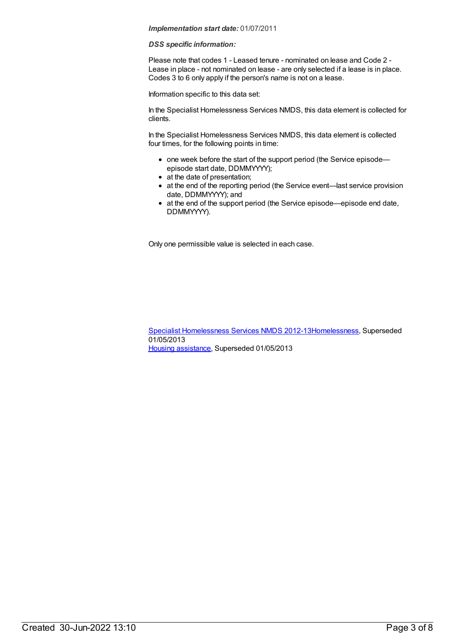#### *DSS specific information:*

Please note that codes 1 - Leased tenure - nominated on lease and Code 2 - Lease in place - not nominated on lease - are only selected if a lease is in place. Codes 3 to 6 only apply if the person's name is not on a lease.

Information specific to this data set:

In the Specialist Homelessness Services NMDS, this data element is collected for clients.

In the Specialist Homelessness Services NMDS, this data element is collected four times, for the following points in time:

- one week before the start of the support period (the Service episodeepisode start date, DDMMYYYY);
- at the date of presentation;
- at the end of the reporting period (the Service event—last service provision date, DDMMYYYY); and
- at the end of the support period (the Service episode—episode end date, DDMMYYYY).

Only one permissible value is selected in each case.

Specialist [Homelessness](https://meteor.aihw.gov.au/content/508954) Services NMDS 2012-1[3Homelessness](https://meteor.aihw.gov.au/RegistrationAuthority/14), Superseded 01/05/2013 Housing [assistance](https://meteor.aihw.gov.au/RegistrationAuthority/11), Superseded 01/05/2013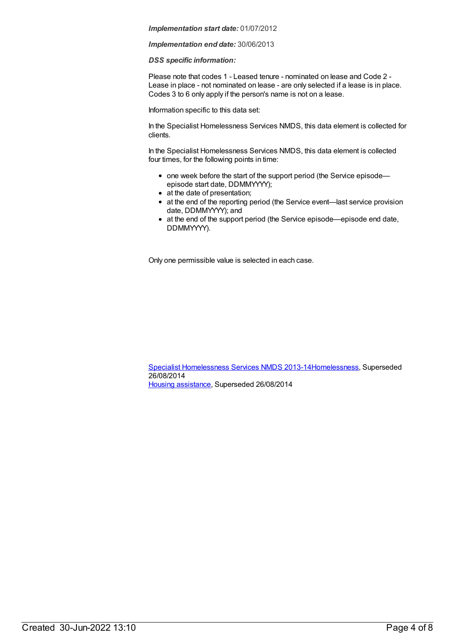#### *Implementation end date:* 30/06/2013

### *DSS specific information:*

Please note that codes 1 - Leased tenure - nominated on lease and Code 2 - Lease in place - not nominated on lease - are only selected if a lease is in place. Codes 3 to 6 only apply if the person's name is not on a lease.

Information specific to this data set:

In the Specialist Homelessness Services NMDS, this data element is collected for clients.

In the Specialist Homelessness Services NMDS, this data element is collected four times, for the following points in time:

- one week before the start of the support period (the Service episodeepisode start date, DDMMYYYY);
- at the date of presentation;
- at the end of the reporting period (the Service event—last service provision date, DDMMYYYY); and
- at the end of the support period (the Service episode—episode end date, DDMMYYYY).

Only one permissible value is selected in each case.

Specialist [Homelessness](https://meteor.aihw.gov.au/content/505626) Services NMDS 2013-1[4Homelessness](https://meteor.aihw.gov.au/RegistrationAuthority/14), Superseded 26/08/2014 Housing [assistance](https://meteor.aihw.gov.au/RegistrationAuthority/11), Superseded 26/08/2014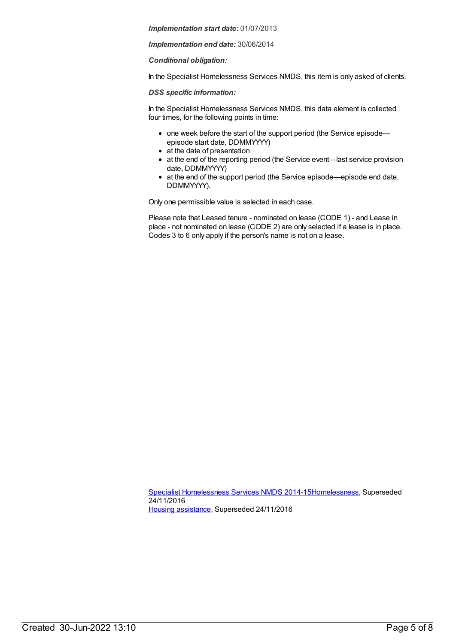*Implementation end date:* 30/06/2014

*Conditional obligation:*

In the Specialist Homelessness Services NMDS, this item is only asked of clients.

*DSS specific information:*

In the Specialist Homelessness Services NMDS, this data element is collected four times, for the following points in time:

- one week before the start of the support period (the Service episode episode start date, DDMMYYYY)
- at the date of presentation
- at the end of the reporting period (the Service event—last service provision date, DDMMYYYY)
- at the end of the support period (the Service episode—episode end date, DDMMYYYY).

Only one permissible value is selected in each case.

Please note that Leased tenure - nominated on lease (CODE 1) - and Lease in place - not nominated on lease (CODE 2) are only selected if a lease is in place. Codes 3 to 6 only apply if the person's name is not on a lease.

Specialist [Homelessness](https://meteor.aihw.gov.au/content/581255) Services NMDS 2014-1[5Homelessness](https://meteor.aihw.gov.au/RegistrationAuthority/14), Superseded 24/11/2016 Housing [assistance](https://meteor.aihw.gov.au/RegistrationAuthority/11), Superseded 24/11/2016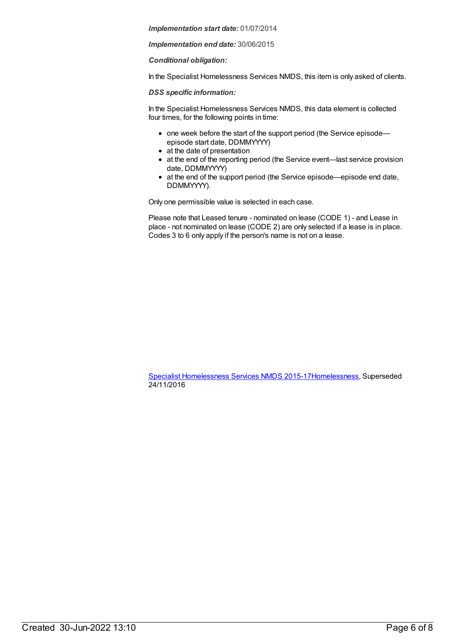*Implementation end date:* 30/06/2015

*Conditional obligation:*

In the Specialist Homelessness Services NMDS, this item is only asked of clients.

*DSS specific information:*

In the Specialist Homelessness Services NMDS, this data element is collected four times, for the following points in time:

- one week before the start of the support period (the Service episode episode start date, DDMMYYYY)
- at the date of presentation
- at the end of the reporting period (the Service event—last service provision date, DDMMYYYY)
- at the end of the support period (the Service episode—episode end date, DDMMYYYY).

Only one permissible value is selected in each case.

Please note that Leased tenure - nominated on lease (CODE 1) - and Lease in place - not nominated on lease (CODE 2) are only selected if a lease is in place. Codes 3 to 6 only apply if the person's name is not on a lease.

Specialist [Homelessness](https://meteor.aihw.gov.au/content/658005) Services NMDS 2015-1[7Homelessness](https://meteor.aihw.gov.au/RegistrationAuthority/14), Superseded 24/11/2016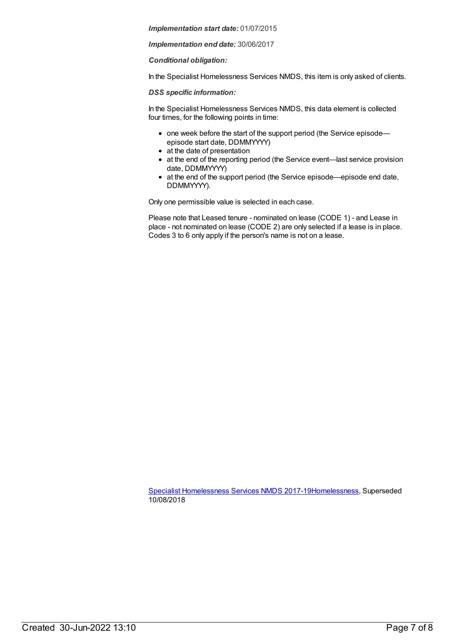*Implementation end date:* 30/06/2017

*Conditional obligation:*

In the Specialist Homelessness Services NMDS, this item is only asked of clients.

*DSS specific information:*

In the Specialist Homelessness Services NMDS, this data element is collected four times, for the following points in time:

- one week before the start of the support period (the Service episode episode start date, DDMMYYYY)
- at the date of presentation
- at the end of the reporting period (the Service event—last service provision date, DDMMYYYY)
- at the end of the support period (the Service episode—episode end date, DDMMYYYY).

Only one permissible value is selected in each case.

Please note that Leased tenure - nominated on lease (CODE 1) - and Lease in place - not nominated on lease (CODE 2) are only selected if a lease is in place. Codes 3 to 6 only apply if the person's name is not on a lease.

Specialist [Homelessness](https://meteor.aihw.gov.au/content/650006) Services NMDS 2017-1[9Homelessness](https://meteor.aihw.gov.au/RegistrationAuthority/14), Superseded 10/08/2018